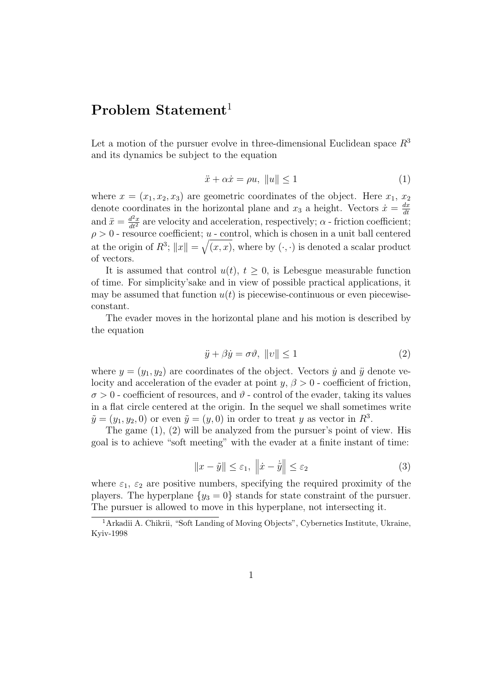## Problem Statement<sup>1</sup>

Let a motion of the pursuer evolve in three-dimensional Euclidean space  $R^3$ and its dynamics be subject to the equation

$$
\ddot{x} + \alpha \dot{x} = \rho u, \ \|u\| \le 1 \tag{1}
$$

where  $x = (x_1, x_2, x_3)$  are geometric coordinates of the object. Here  $x_1, x_2$ denote coordinates in the horizontal plane and  $x_3$  a height. Vectors  $\dot{x} = \frac{dx}{dt}$ dt and  $\ddot{x} = \frac{d^2x}{dt^2}$  are velocity and acceleration, respectively;  $\alpha$  - friction coefficient;  $\rho > 0$  - resource coefficient; u - control, which is chosen in a unit ball centered at the origin of  $R^3$ ;  $||x|| = \sqrt{(x, x)}$ , where by  $(\cdot, \cdot)$  is denoted a scalar product of vectors.

It is assumed that control  $u(t)$ ,  $t \geq 0$ , is Lebesgue measurable function of time. For simplicity'sake and in view of possible practical applications, it may be assumed that function  $u(t)$  is piecewise-continuous or even piecewiseconstant.

The evader moves in the horizontal plane and his motion is described by the equation

$$
\ddot{y} + \beta \dot{y} = \sigma \vartheta, \ \|v\| \le 1 \tag{2}
$$

where  $y = (y_1, y_2)$  are coordinates of the object. Vectors  $\dot{y}$  and  $\ddot{y}$  denote velocity and acceleration of the evader at point  $y, \beta > 0$  - coefficient of friction,  $\sigma > 0$  - coefficient of resources, and  $\vartheta$  - control of the evader, taking its values in a flat circle centered at the origin. In the sequel we shall sometimes write  $\tilde{y} = (y_1, y_2, 0)$  or even  $\tilde{y} = (y, 0)$  in order to treat y as vector in  $R^3$ .

The game (1), (2) will be analyzed from the pursuer's point of view. His goal is to achieve "soft meeting" with the evader at a finite instant of time:

$$
||x - \tilde{y}|| \le \varepsilon_1, ||\dot{x} - \dot{\tilde{y}}|| \le \varepsilon_2
$$
\n(3)

where  $\varepsilon_1$ ,  $\varepsilon_2$  are positive numbers, specifying the required proximity of the players. The hyperplane  $\{y_3 = 0\}$  stands for state constraint of the pursuer. The pursuer is allowed to move in this hyperplane, not intersecting it.

<sup>&</sup>lt;sup>1</sup>Arkadii A. Chikrii, "Soft Landing of Moving Objects", Cybernetics Institute, Ukraine, Kyiv-1998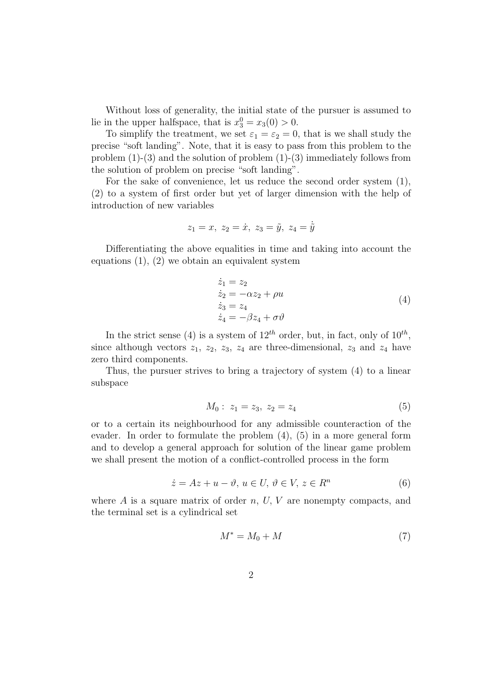Without loss of generality, the initial state of the pursuer is assumed to lie in the upper halfspace, that is  $x_3^0 = x_3(0) > 0$ .

To simplify the treatment, we set  $\varepsilon_1 = \varepsilon_2 = 0$ , that is we shall study the precise "soft landing". Note, that it is easy to pass from this problem to the problem (1)-(3) and the solution of problem (1)-(3) immediately follows from the solution of problem on precise "soft landing".

For the sake of convenience, let us reduce the second order system (1), (2) to a system of first order but yet of larger dimension with the help of introduction of new variables

$$
z_1 = x, \ z_2 = \dot{x}, \ z_3 = \tilde{y}, \ z_4 = \dot{\tilde{y}}
$$

Differentiating the above equalities in time and taking into account the equations  $(1)$ ,  $(2)$  we obtain an equivalent system

$$
\begin{aligned}\n\dot{z}_1 &= z_2\\ \n\dot{z}_2 &= -\alpha z_2 + \rho u\\ \n\dot{z}_3 &= z_4\\ \n\dot{z}_4 &= -\beta z_4 + \sigma \vartheta\n\end{aligned} \tag{4}
$$

In the strict sense (4) is a system of  $12^{th}$  order, but, in fact, only of  $10^{th}$ , since although vectors  $z_1$ ,  $z_2$ ,  $z_3$ ,  $z_4$  are three-dimensional,  $z_3$  and  $z_4$  have zero third components.

Thus, the pursuer strives to bring a trajectory of system (4) to a linear subspace

$$
M_0: z_1 = z_3, z_2 = z_4 \tag{5}
$$

or to a certain its neighbourhood for any admissible counteraction of the evader. In order to formulate the problem (4), (5) in a more general form and to develop a general approach for solution of the linear game problem we shall present the motion of a conflict-controlled process in the form

$$
\dot{z} = Az + u - \vartheta, \ u \in U, \ \vartheta \in V, \ z \in R^n \tag{6}
$$

where  $A$  is a square matrix of order  $n, U, V$  are nonempty compacts, and the terminal set is a cylindrical set

$$
M^* = M_0 + M \tag{7}
$$